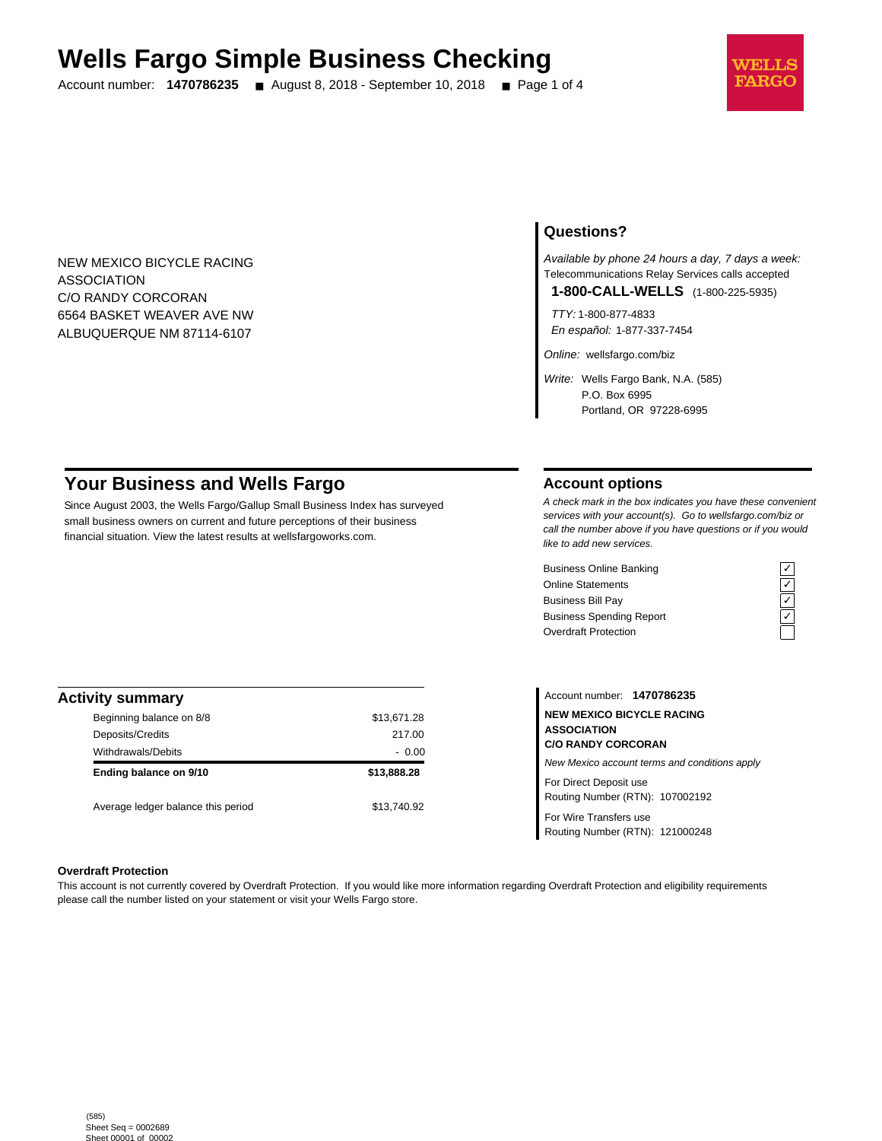# **Wells Fargo Simple Business Checking**

Account number: **1470786235** ■ August 8, 2018 - September 10, 2018 ■ Page 1 of 4



NEW MEXICO BICYCLE RACING ASSOCIATION C/O RANDY CORCORAN 6564 BASKET WEAVER AVE NW ALBUQUERQUE NM 87114-6107

## **Questions?**

Available by phone 24 hours a day, 7 days a week: Telecommunications Relay Services calls accepted

**1-800-CALL-WELLS** (1-800-225-5935)

TTY: 1-800-877-4833 En español: 1-877-337-7454

Online: wellsfargo.com/biz

Write: Wells Fargo Bank, N.A. (585) P.O. Box 6995 Portland, OR 97228-6995

# **Your Business and Wells Fargo**

Since August 2003, the Wells Fargo/Gallup Small Business Index has surveyed small business owners on current and future perceptions of their business financial situation. View the latest results at wellsfargoworks.com.

## **Account options**

A check mark in the box indicates you have these convenient services with your account(s). Go to wellsfargo.com/biz or call the number above if you have questions or if you would like to add new services.

Business Online Banking<br>
Online Statements<br>
Business Bill Pay<br>
Business Spending Report<br>  $\overline{C}$ <br>
Overdraft Protection Online Statements Business Bill Pay Business Spending Report Overdraft Protection



| <b>Activity summary</b>            |             |
|------------------------------------|-------------|
| Beginning balance on 8/8           | \$13,671.28 |
| Deposits/Credits                   | 217.00      |
| Withdrawals/Debits                 | $-0.00$     |
| Ending balance on 9/10             | \$13,888.28 |
| Average ledger balance this period | \$13.740.92 |

Account number: **1470786235 NEW MEXICO BICYCLE RACING ASSOCIATION C/O RANDY CORCORAN** New Mexico account terms and conditions apply For Direct Deposit use Routing Number (RTN): 107002192

For Wire Transfers use Routing Number (RTN): 121000248

#### **Overdraft Protection**

This account is not currently covered by Overdraft Protection. If you would like more information regarding Overdraft Protection and eligibility requirements please call the number listed on your statement or visit your Wells Fargo store.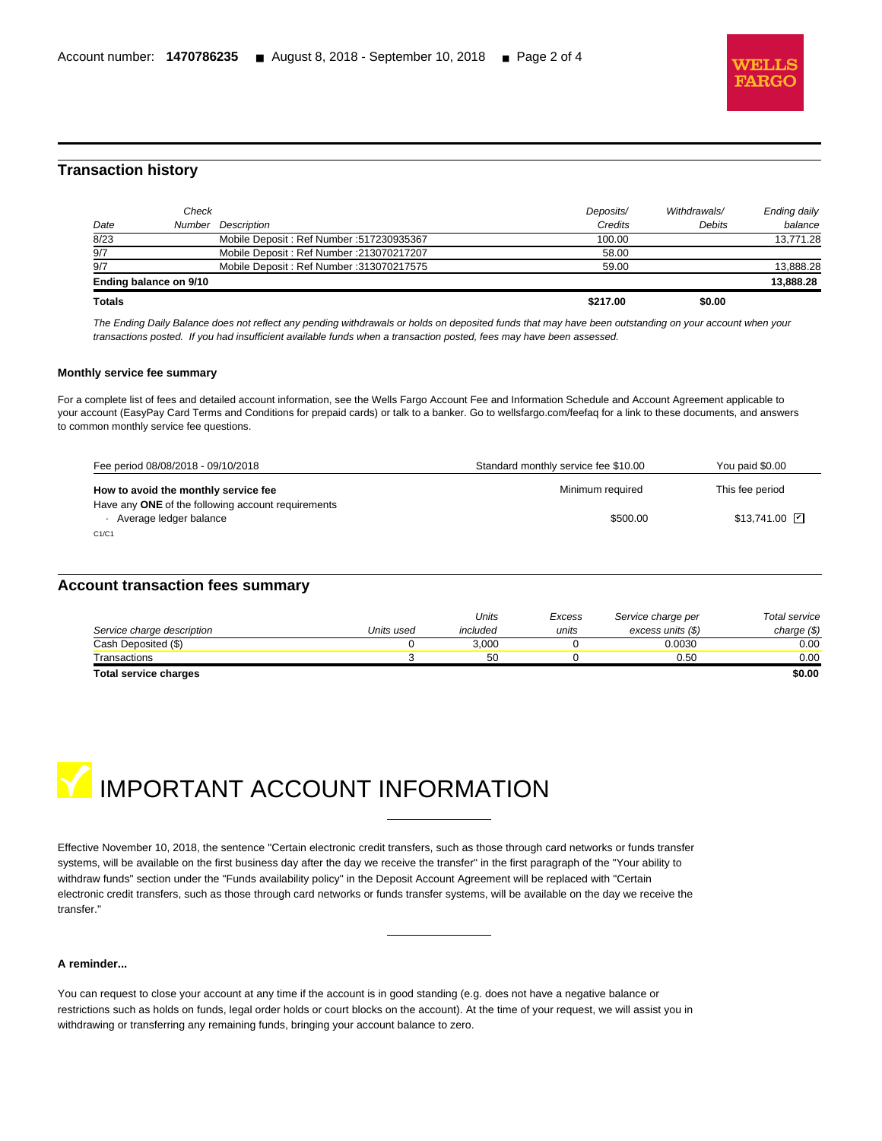

## **Transaction history**

l

| Mobile Deposit: Ref Number: 213070217207<br>Mobile Deposit: Ref Number: 313070217575 | 58.00<br>59.00     |              | 13,888,28    |
|--------------------------------------------------------------------------------------|--------------------|--------------|--------------|
|                                                                                      |                    |              | 13,888.28    |
|                                                                                      |                    |              |              |
|                                                                                      |                    |              |              |
| Mobile Deposit: Ref Number: 517230935367                                             | 100.00             |              | 13.771.28    |
|                                                                                      | Credits            | Debits       | balance      |
|                                                                                      | Deposits/          | Withdrawals/ | Ending daily |
|                                                                                      | Number Description |              |              |

The Ending Daily Balance does not reflect any pending withdrawals or holds on deposited funds that may have been outstanding on your account when your transactions posted. If you had insufficient available funds when a transaction posted, fees may have been assessed.

#### **Monthly service fee summary**

For a complete list of fees and detailed account information, see the Wells Fargo Account Fee and Information Schedule and Account Agreement applicable to your account (EasyPay Card Terms and Conditions for prepaid cards) or talk to a banker. Go to wellsfargo.com/feefaq for a link to these documents, and answers to common monthly service fee questions.

| Fee period 08/08/2018 - 09/10/2018                                           | Standard monthly service fee \$10.00 | You paid \$0.00       |
|------------------------------------------------------------------------------|--------------------------------------|-----------------------|
| How to avoid the monthly service fee                                         | Minimum required                     | This fee period       |
| Have any ONE of the following account requirements<br>Average ledger balance | \$500.00                             | $$13.741.00$ $\nabla$ |
| C1/C1                                                                        |                                      |                       |

## **Account transaction fees summary**

|                            |            | Units    | Excess | Service charge per | Total service |
|----------------------------|------------|----------|--------|--------------------|---------------|
| Service charge description | Units used | included | units  | excess units (\$)  | charge $(\$)$ |
| Cash Deposited (\$)        |            | 3.000    |        | 0.0030             | 0.00          |
| Transactions               |            | 50       |        | 0.50               | 0.00          |
| Total convice charges      |            |          |        |                    | en nn         |

**Total service charges \$0.00**



Effective November 10, 2018, the sentence "Certain electronic credit transfers, such as those through card networks or funds transfer systems, will be available on the first business day after the day we receive the transfer" in the first paragraph of the "Your ability to withdraw funds" section under the "Funds availability policy" in the Deposit Account Agreement will be replaced with "Certain electronic credit transfers, such as those through card networks or funds transfer systems, will be available on the day we receive the transfer."

#### **A reminder...**

You can request to close your account at any time if the account is in good standing (e.g. does not have a negative balance or restrictions such as holds on funds, legal order holds or court blocks on the account). At the time of your request, we will assist you in withdrawing or transferring any remaining funds, bringing your account balance to zero.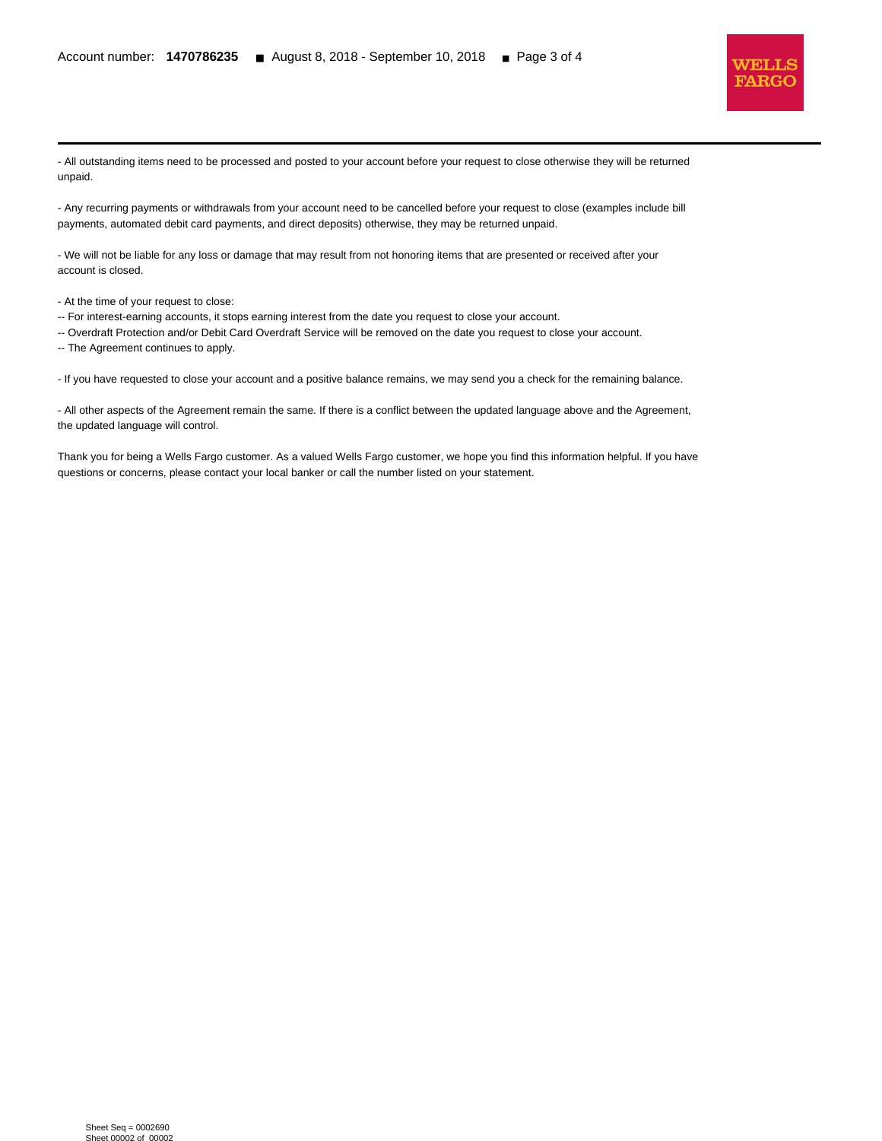

- All outstanding items need to be processed and posted to your account before your request to close otherwise they will be returned unpaid.

- Any recurring payments or withdrawals from your account need to be cancelled before your request to close (examples include bill payments, automated debit card payments, and direct deposits) otherwise, they may be returned unpaid.

- We will not be liable for any loss or damage that may result from not honoring items that are presented or received after your account is closed.

- At the time of your request to close:

l

-- For interest-earning accounts, it stops earning interest from the date you request to close your account.

-- Overdraft Protection and/or Debit Card Overdraft Service will be removed on the date you request to close your account.

-- The Agreement continues to apply.

- If you have requested to close your account and a positive balance remains, we may send you a check for the remaining balance.

- All other aspects of the Agreement remain the same. If there is a conflict between the updated language above and the Agreement, the updated language will control.

Thank you for being a Wells Fargo customer. As a valued Wells Fargo customer, we hope you find this information helpful. If you have questions or concerns, please contact your local banker or call the number listed on your statement.